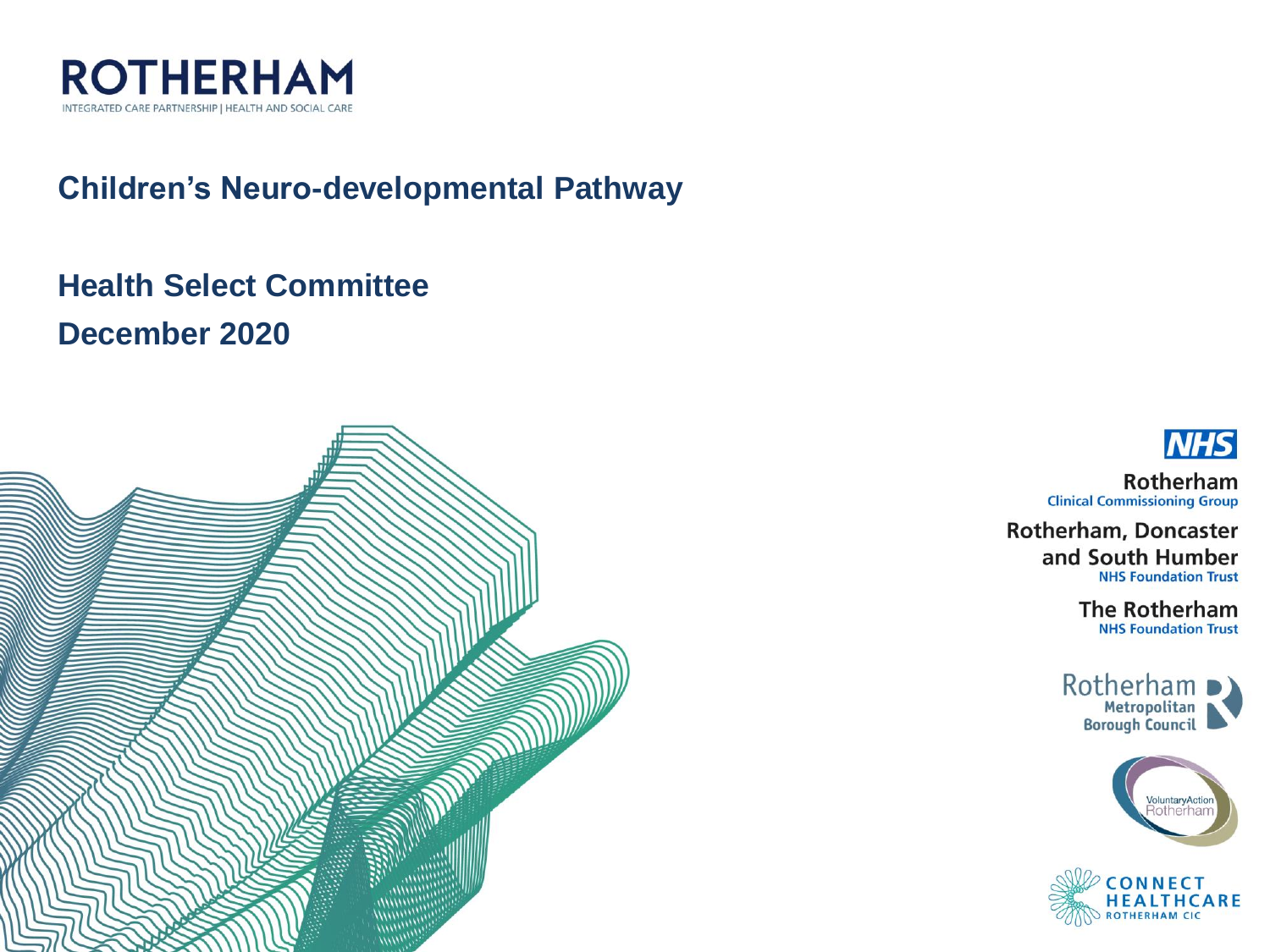

#### **Children's Neuro-developmental Pathway**

### **Health Select Committee December 2020**



**NHS** 

Rotherham **Clinical Commissioning Group** 

**Rotherham, Doncaster** and South Humber **NHS Foundation Trust** 

> **The Rotherham NHS Foundation Trust**





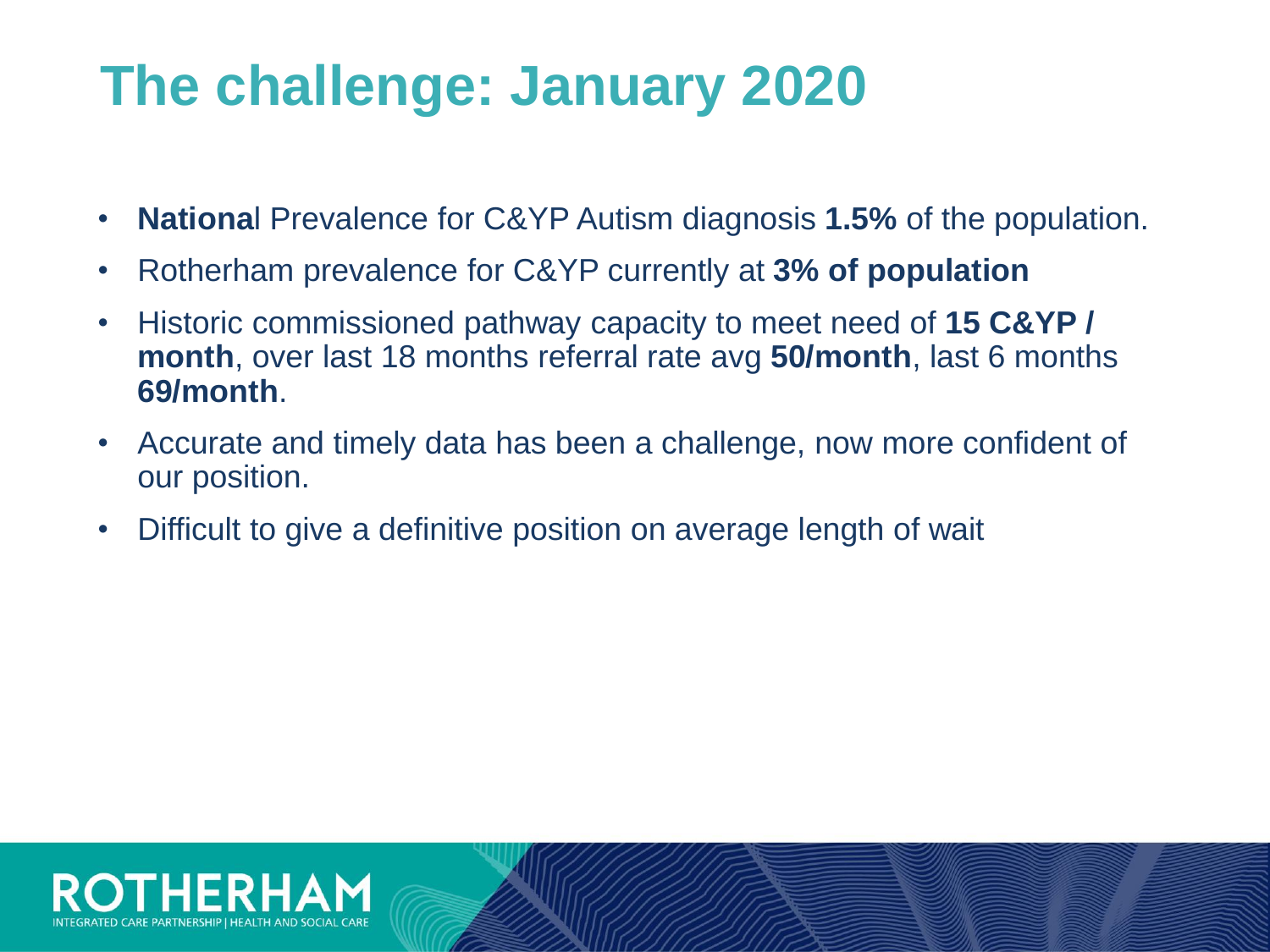# **The challenge: January 2020**

- **Nationa**l Prevalence for C&YP Autism diagnosis **1.5%** of the population.
- Rotherham prevalence for C&YP currently at **3% of population**
- Historic commissioned pathway capacity to meet need of **15 C&YP / month**, over last 18 months referral rate avg **50/month**, last 6 months **69/month**.
- Accurate and timely data has been a challenge, now more confident of our position.
- Difficult to give a definitive position on average length of wait

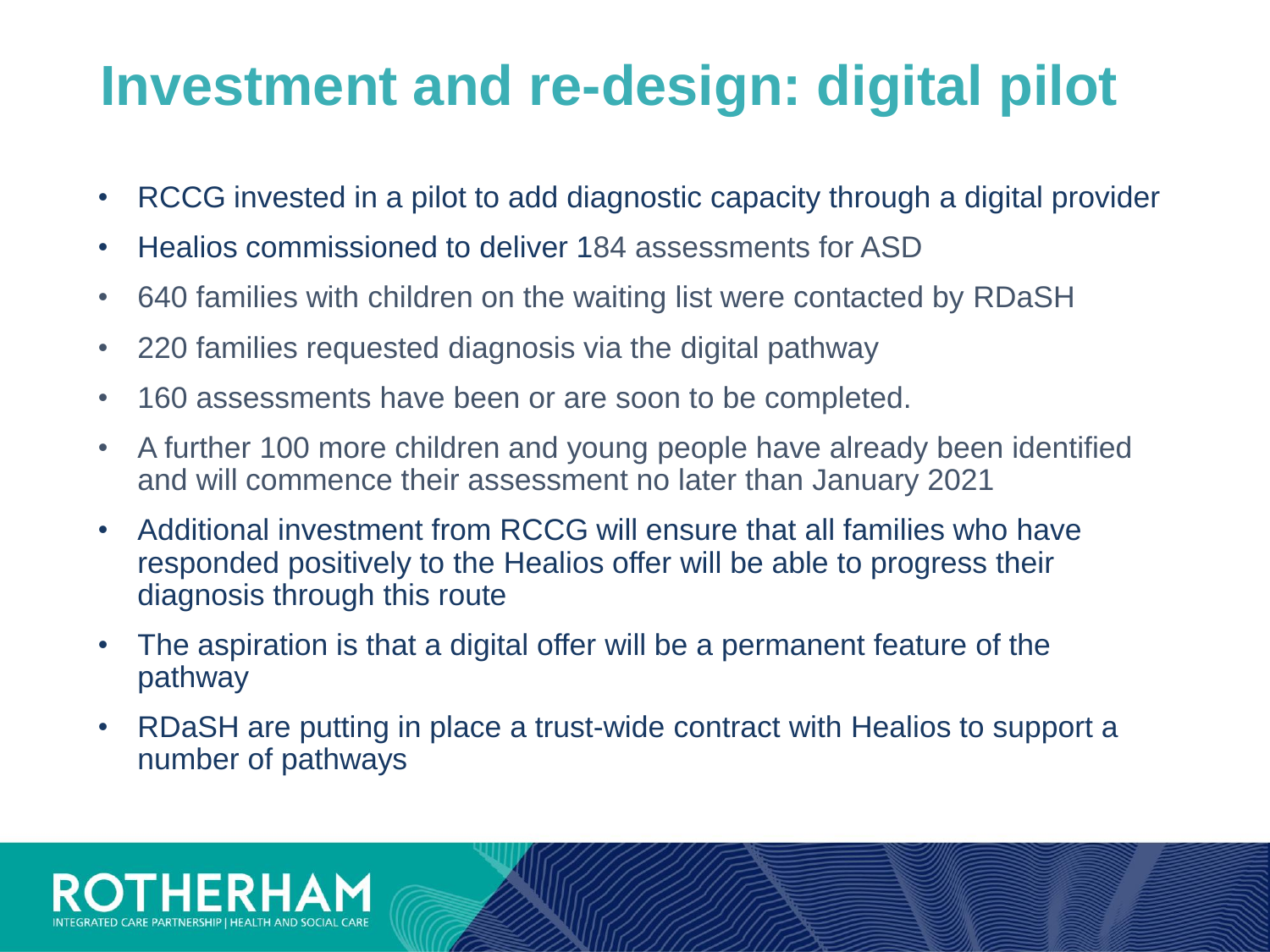# **Investment and re-design: digital pilot**

- RCCG invested in a pilot to add diagnostic capacity through a digital provider
- Healios commissioned to deliver 184 assessments for ASD
- 640 families with children on the waiting list were contacted by RDaSH
- 220 families requested diagnosis via the digital pathway
- 160 assessments have been or are soon to be completed.
- A further 100 more children and young people have already been identified and will commence their assessment no later than January 2021
- Additional investment from RCCG will ensure that all families who have responded positively to the Healios offer will be able to progress their diagnosis through this route
- The aspiration is that a digital offer will be a permanent feature of the pathway
- RDaSH are putting in place a trust-wide contract with Healios to support a number of pathways

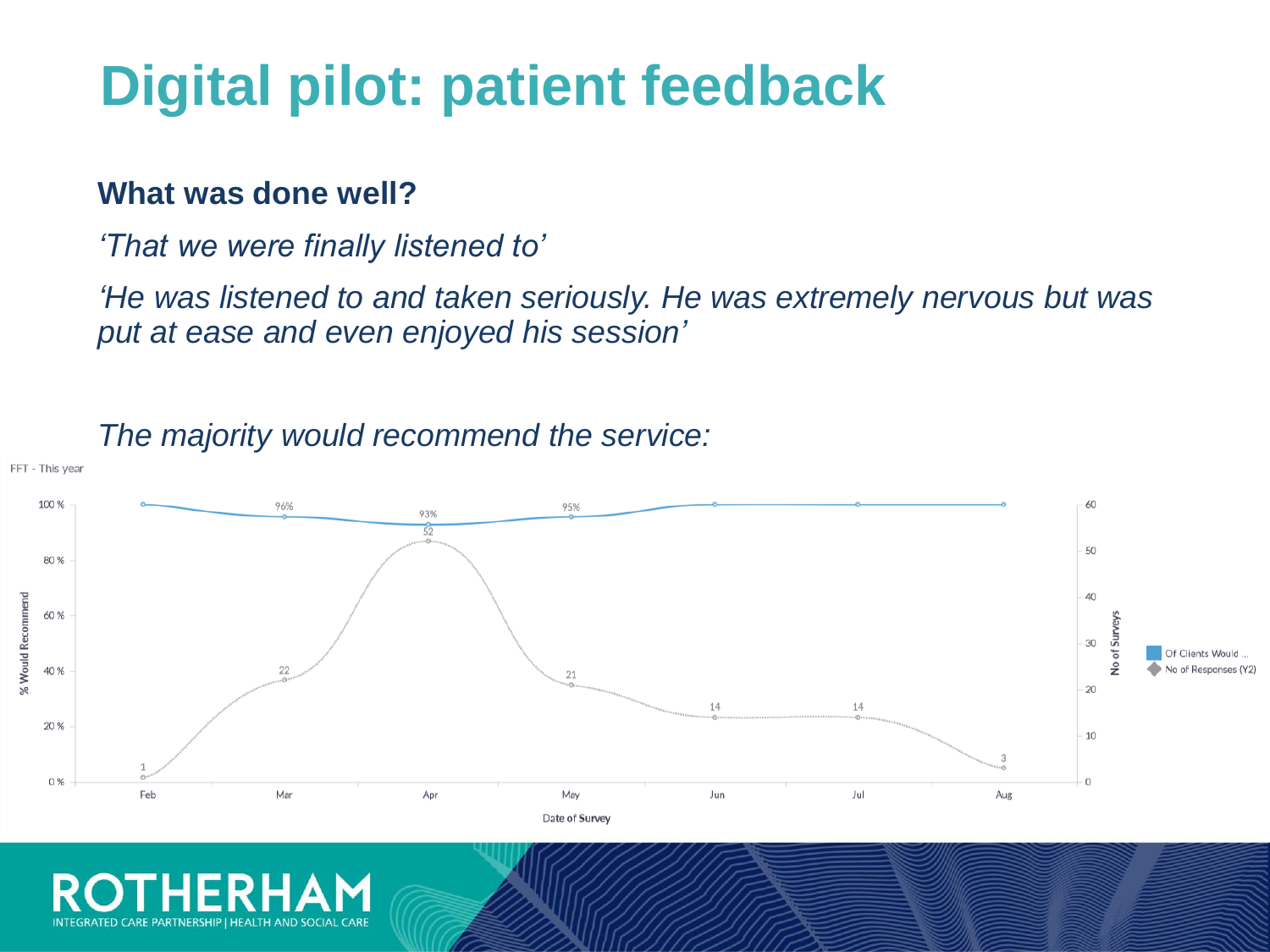# **Digital pilot: patient feedback**

#### **What was done well?**

*'That we were finally listened to'*

*'He was listened to and taken seriously. He was extremely nervous but was put at ease and even enjoyed his session'*

FFT - This year 100 % 60 96% 95% 93%  $\overline{52}$ 50 80% 40 % Would Recommend 60% 30 Of Clients Would No of Responses (Y2) 40 % 22  $21$ 20  $14$ 14 20 % 10 0%  $\Omega$ Feb Mar May Jun Jul Apr Aug Date of Survey

*The majority would recommend the service:*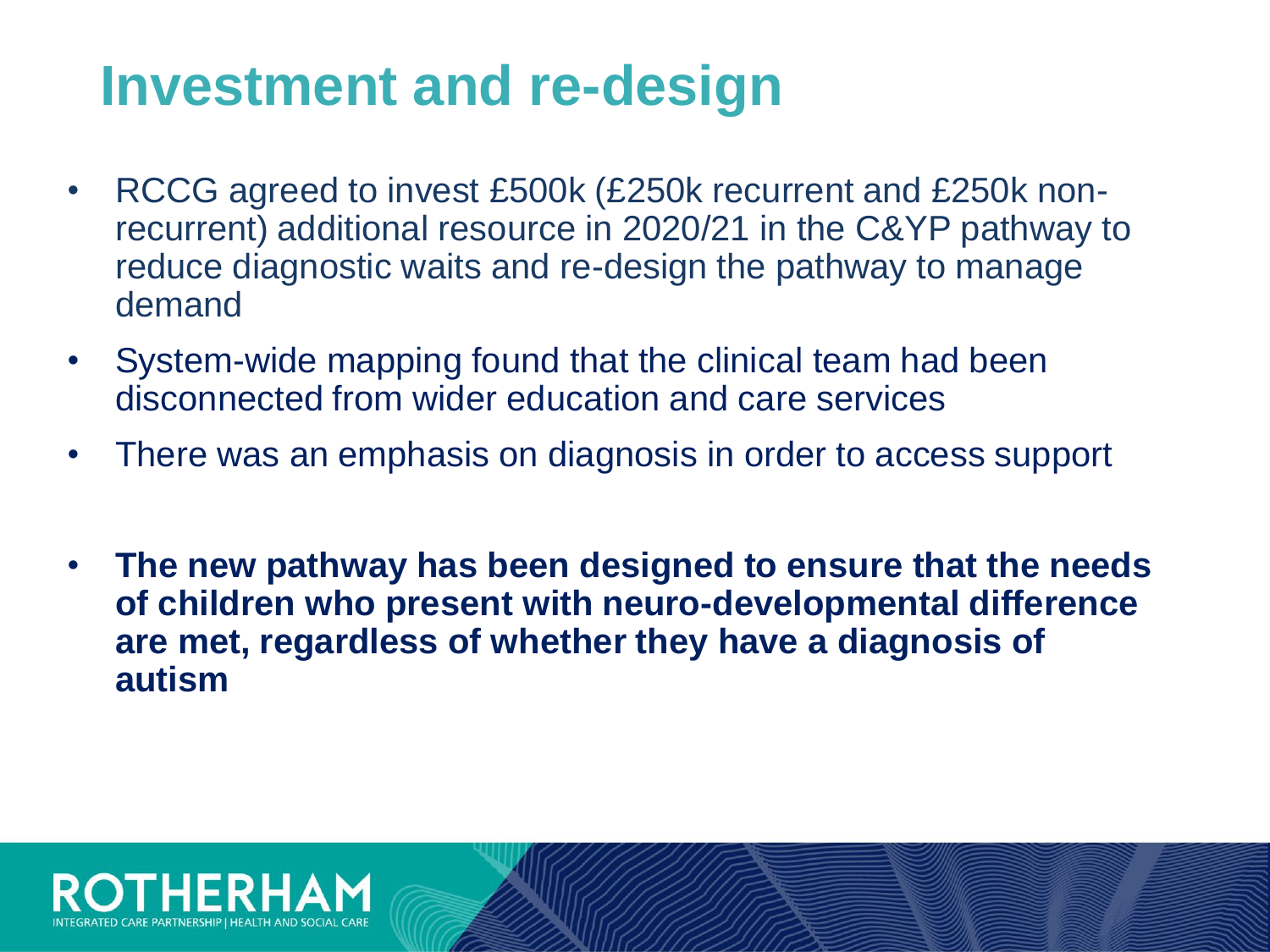## **Investment and re-design**

- RCCG agreed to invest £500k (£250k recurrent and £250k nonrecurrent) additional resource in 2020/21 in the C&YP pathway to reduce diagnostic waits and re-design the pathway to manage demand
- System-wide mapping found that the clinical team had been disconnected from wider education and care services
- There was an emphasis on diagnosis in order to access support
- **The new pathway has been designed to ensure that the needs of children who present with neuro-developmental difference are met, regardless of whether they have a diagnosis of autism**

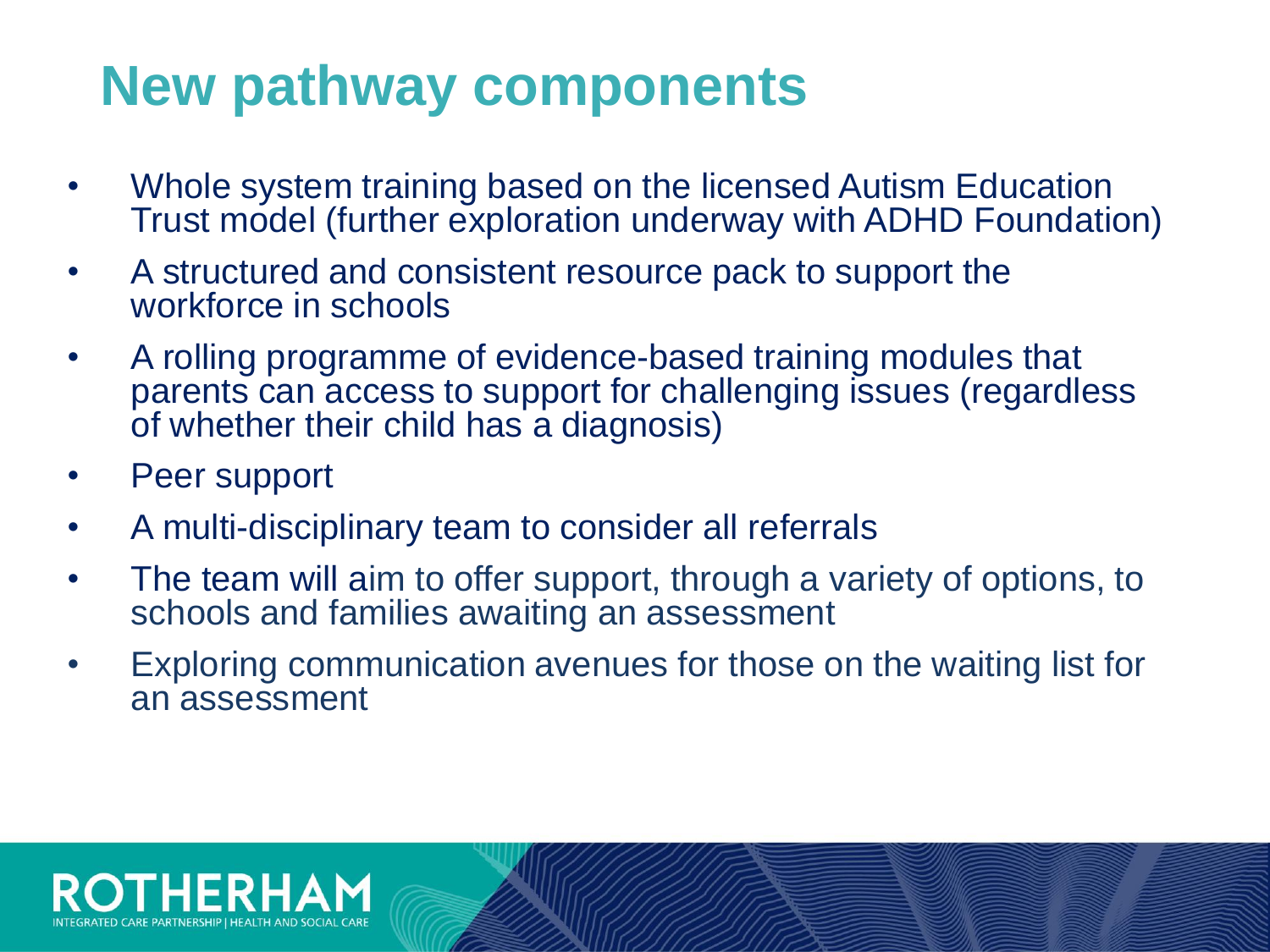# **New pathway components**

- Whole system training based on the licensed Autism Education Trust model (further exploration underway with ADHD Foundation)
- A structured and consistent resource pack to support the workforce in schools
- A rolling programme of evidence-based training modules that parents can access to support for challenging issues (regardless of whether their child has a diagnosis)
- Peer support
- A multi-disciplinary team to consider all referrals
- The team will aim to offer support, through a variety of options, to schools and families awaiting an assessment
- Exploring communication avenues for those on the waiting list for an assessment

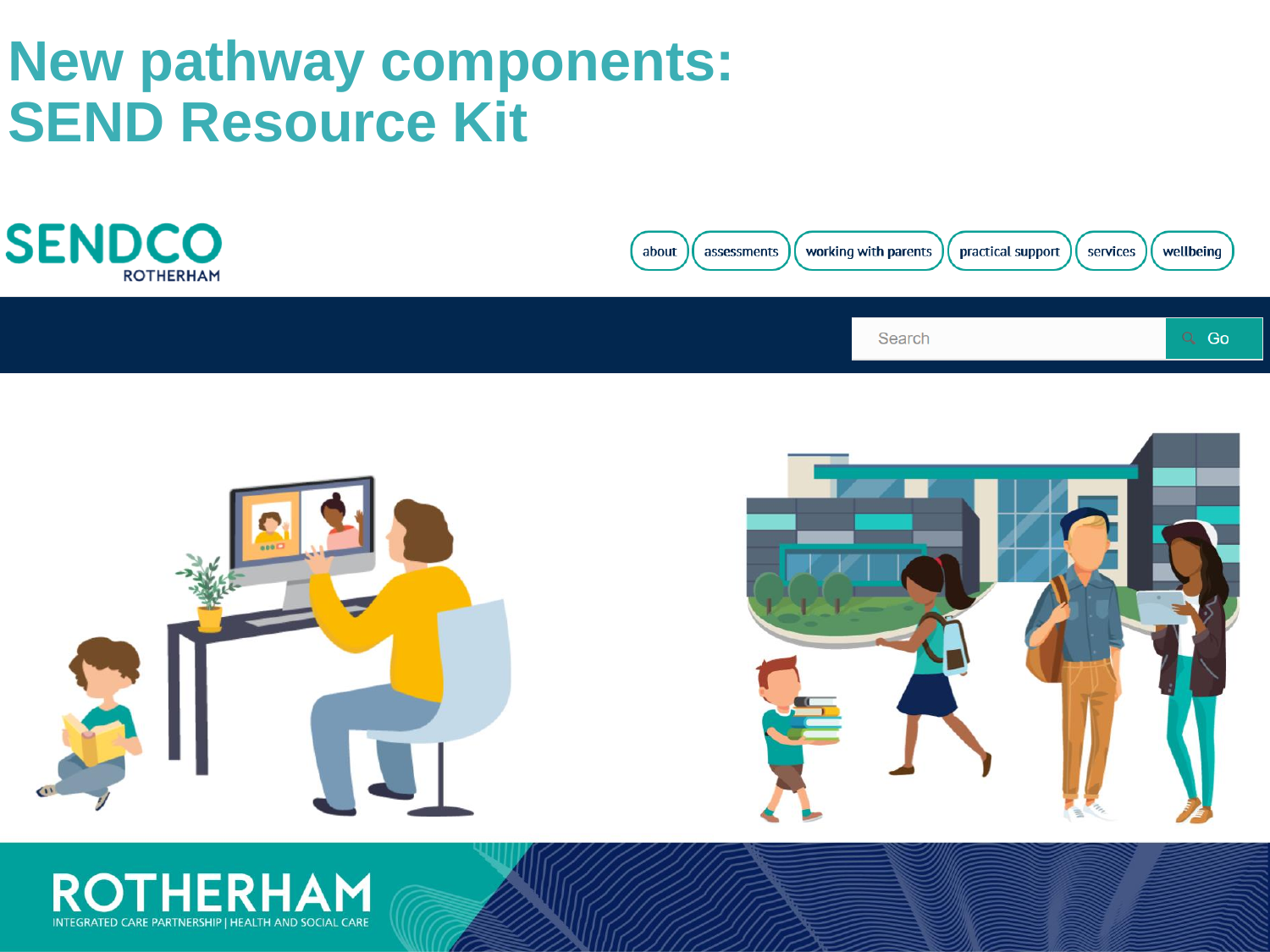### **New pathway components: SEND Resource Kit**



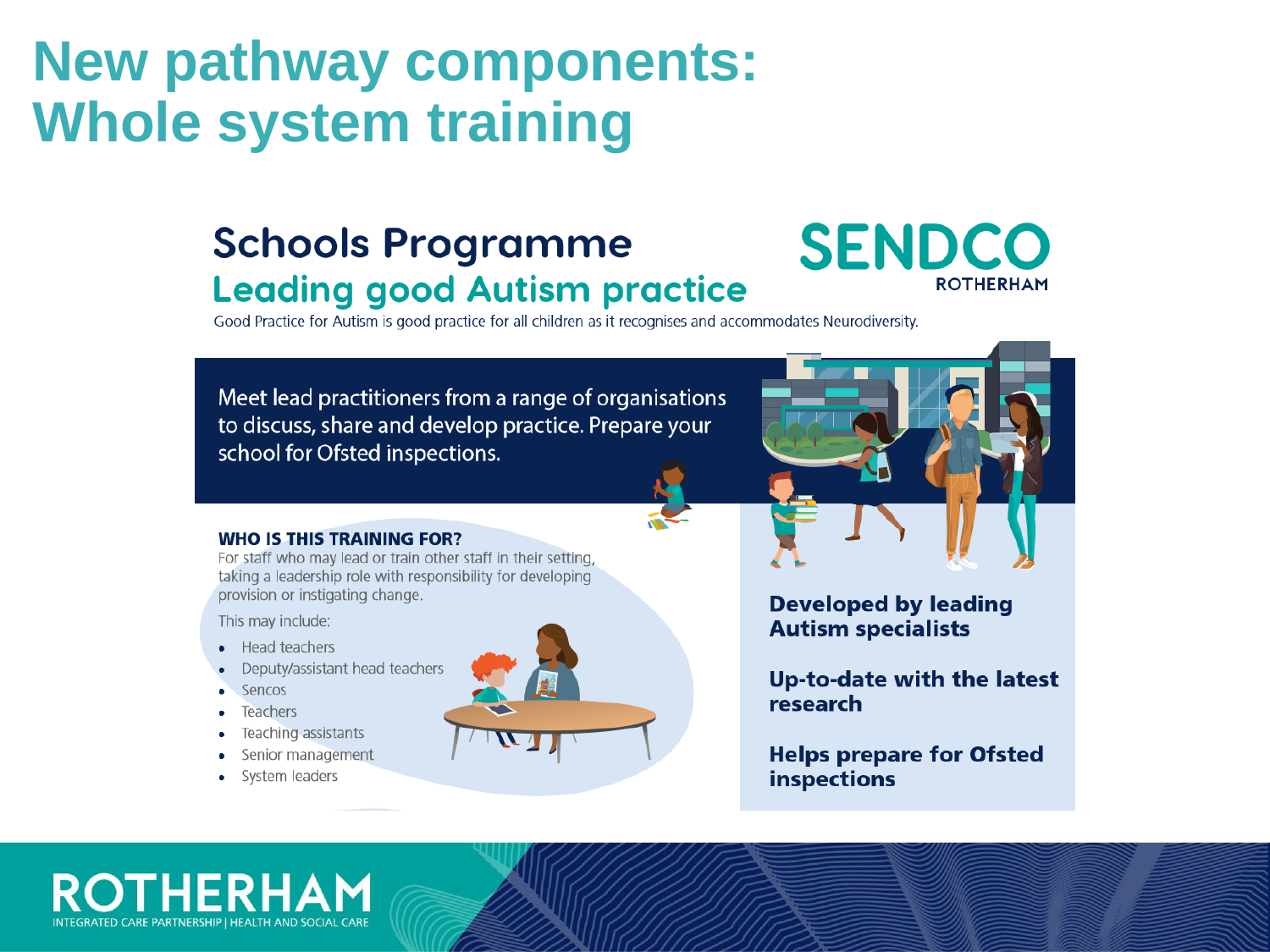### **New pathway components: Whole system training**

### **Schools Programme Leading good Autism practice**

### **SENDCO ROTHERHAM**

Good Practice for Autism is good practice for all children as it recognises and accommodates Neurodiversity.

Meet lead practitioners from a range of organisations to discuss, share and develop practice. Prepare your school for Ofsted inspections.

#### **WHO IS THIS TRAINING FOR?**

For staff who may lead or train other staff in their setting. taking a leadership role with responsibility for developing provision or instigating change.

This may include:

- Head teachers
- Deputy/assistant head teachers
- Sencos

ROTHER

INTEGRATED CARE PARTNERSHIP | HEALTH AND SOCIAL CAR

- **Teachers**
- Teaching assistants
- Senior management
- System leaders





**Developed by leading Autism specialists** 

**Up-to-date with the latest** research

**Helps prepare for Ofsted inspections**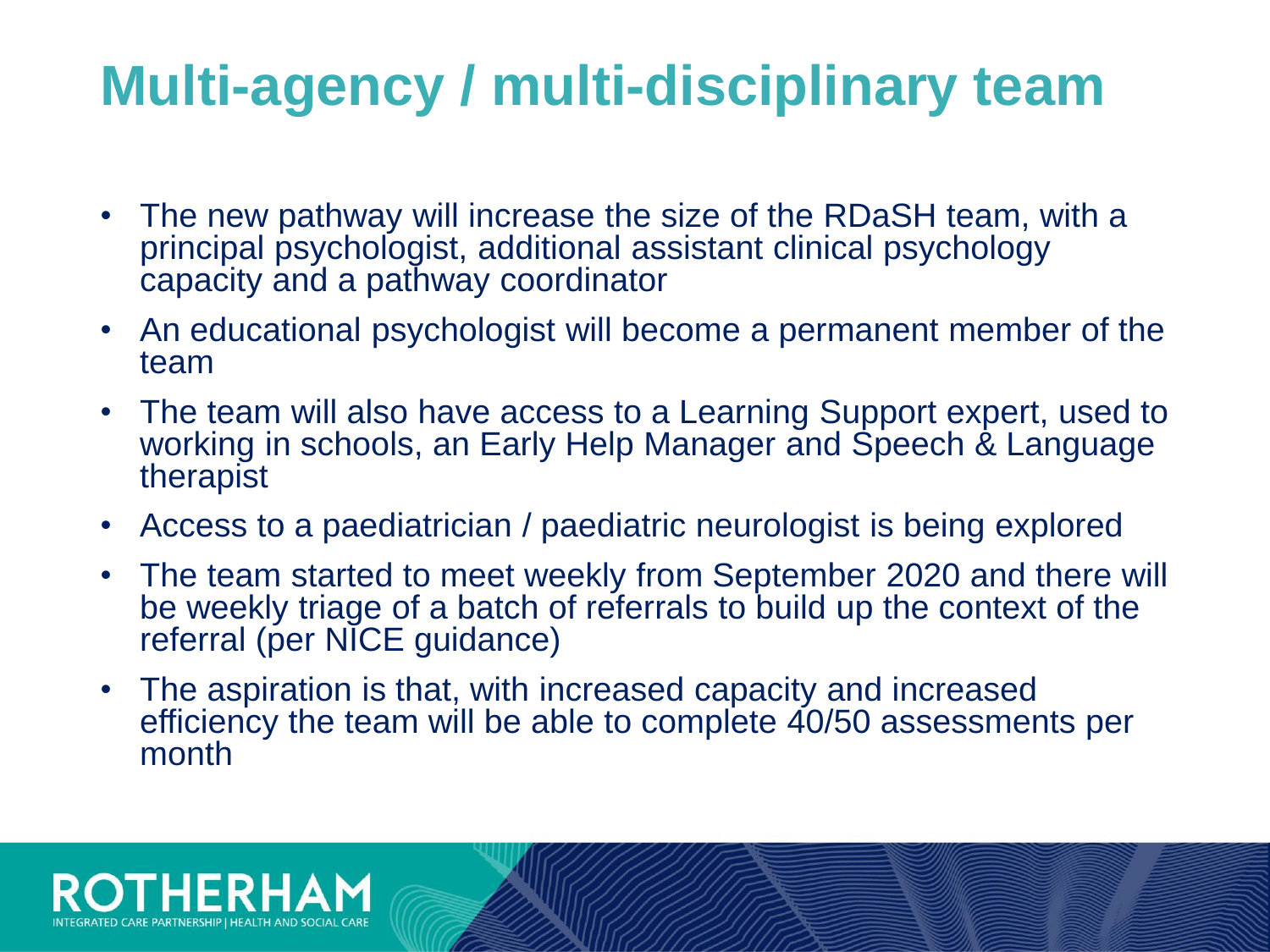# **Multi-agency / multi-disciplinary team**

- The new pathway will increase the size of the RDaSH team, with a principal psychologist, additional assistant clinical psychology capacity and a pathway coordinator
- An educational psychologist will become a permanent member of the team
- The team will also have access to a Learning Support expert, used to working in schools, an Early Help Manager and Speech & Language therapist
- Access to a paediatrician / paediatric neurologist is being explored
- The team started to meet weekly from September 2020 and there will be weekly triage of a batch of referrals to build up the context of the referral (per NICE guidance)
- The aspiration is that, with increased capacity and increased efficiency the team will be able to complete 40/50 assessments per month